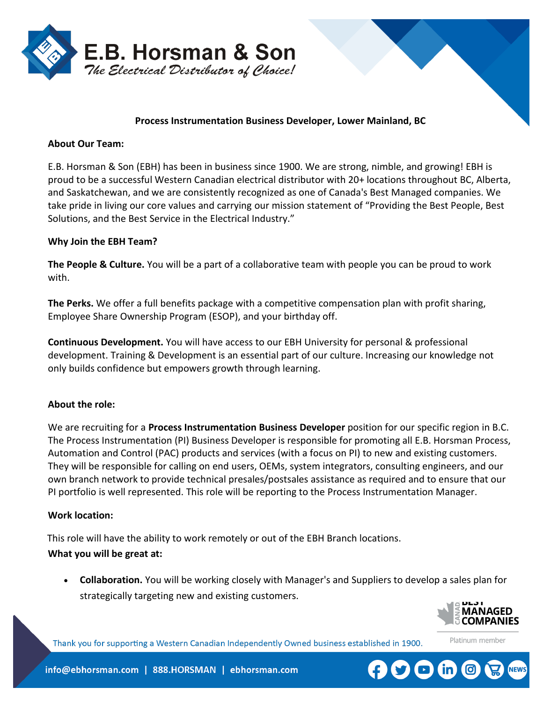

### **Process Instrumentation Business Developer, Lower Mainland, BC**

### **About Our Team:**

E.B. Horsman & Son (EBH) has been in business since 1900. We are strong, nimble, and growing! EBH is proud to be a successful Western Canadian electrical distributor with 20+ locations throughout BC, Alberta, and Saskatchewan, and we are consistently recognized as one of Canada's Best Managed companies. We take pride in living our core values and carrying our mission statement of "Providing the Best People, Best Solutions, and the Best Service in the Electrical Industry."

### **Why Join the EBH Team?**

**The People & Culture.** You will be a part of a collaborative team with people you can be proud to work with.

**The Perks.** We offer a full benefits package with a competitive compensation plan with profit sharing, Employee Share Ownership Program (ESOP), and your birthday off.

**Continuous Development.** You will have access to our EBH University for personal & professional development. Training & Development is an essential part of our culture. Increasing our knowledge not only builds confidence but empowers growth through learning.

## **About the role:**

We are recruiting for a **Process Instrumentation Business Developer** position for our specific region in B.C. The Process Instrumentation (PI) Business Developer is responsible for promoting all E.B. Horsman Process, Automation and Control (PAC) products and services (with a focus on PI) to new and existing customers. They will be responsible for calling on end users, OEMs, system integrators, consulting engineers, and our own branch network to provide technical presales/postsales assistance as required and to ensure that our PI portfolio is well represented. This role will be reporting to the Process Instrumentation Manager.

#### **Work location:**

This role will have the ability to work remotely or out of the EBH Branch locations.

## **What you will be great at:**

• **Collaboration.** You will be working closely with Manager's and Suppliers to develop a sales plan for strategically targeting new and existing customers.



Platinum member

Thank you for supporting a Western Canadian Independently Owned business established in 1900.

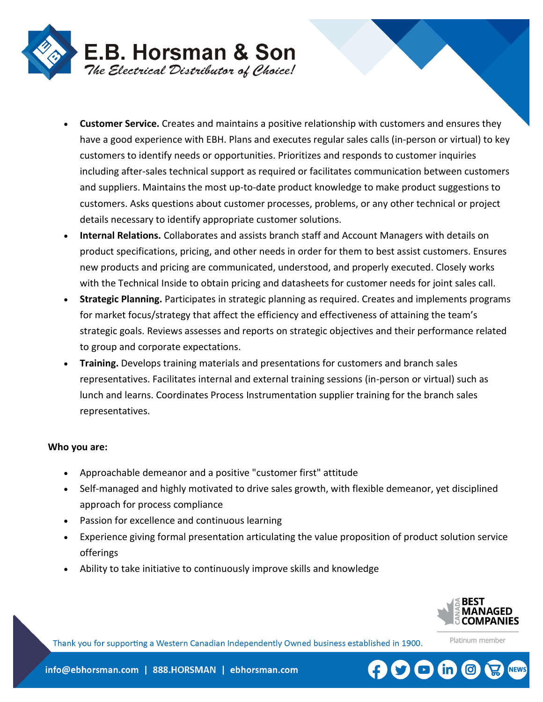

- **Customer Service.** Creates and maintains a positive relationship with customers and ensures they have a good experience with EBH. Plans and executes regular sales calls (in-person or virtual) to key customers to identify needs or opportunities. Prioritizes and responds to customer inquiries including after-sales technical support as required or facilitates communication between customers and suppliers. Maintains the most up-to-date product knowledge to make product suggestions to customers. Asks questions about customer processes, problems, or any other technical or project details necessary to identify appropriate customer solutions.
- **Internal Relations.** Collaborates and assists branch staff and Account Managers with details on product specifications, pricing, and other needs in order for them to best assist customers. Ensures new products and pricing are communicated, understood, and properly executed. Closely works with the Technical Inside to obtain pricing and datasheets for customer needs for joint sales call.
- **Strategic Planning.** Participates in strategic planning as required. Creates and implements programs for market focus/strategy that affect the efficiency and effectiveness of attaining the team's strategic goals. Reviews assesses and reports on strategic objectives and their performance related to group and corporate expectations.
- **Training.** Develops training materials and presentations for customers and branch sales representatives. Facilitates internal and external training sessions (in-person or virtual) such as lunch and learns. Coordinates Process Instrumentation supplier training for the branch sales representatives.

#### **Who you are:**

- Approachable demeanor and a positive "customer first" attitude
- Self-managed and highly motivated to drive sales growth, with flexible demeanor, yet disciplined approach for process compliance
- Passion for excellence and continuous learning
- Experience giving formal presentation articulating the value proposition of product solution service offerings
- Ability to take initiative to continuously improve skills and knowledge



Platinum member

Thank you for supporting a Western Canadian Independently Owned business established in 1900.